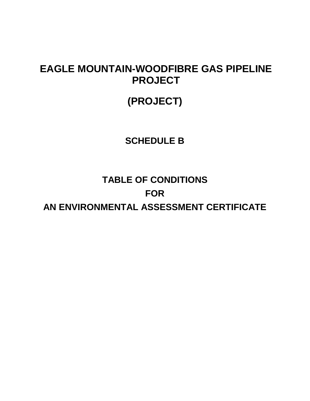## **EAGLE MOUNTAIN-WOODFIBRE GAS PIPELINE PROJECT**

# **(PROJECT)**

## **SCHEDULE B**

# **TABLE OF CONDITIONS FOR AN ENVIRONMENTAL ASSESSMENT CERTIFICATE**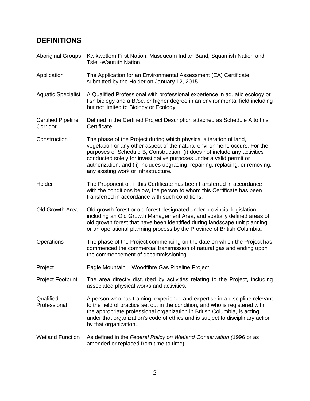#### **DEFINITIONS**

- Aboriginal Groups Kwikwetlem First Nation, Musqueam Indian Band, Squamish Nation and Tsleil-Waututh Nation.
- Application The Application for an Environmental Assessment (EA) Certificate submitted by the Holder on January 12, 2015.
- Aquatic Specialist A Qualified Professional with professional experience in aquatic ecology or fish biology and a B.Sc. or higher degree in an environmental field including but not limited to Biology or Ecology.
- Certified Pipeline Corridor Defined in the Certified Project Description attached as Schedule A to this Certificate.
- Construction The phase of the Project during which physical alteration of land, vegetation or any other aspect of the natural environment, occurs. For the purposes of Schedule B, Construction: (i) does not include any activities conducted solely for investigative purposes under a valid permit or authorization, and (ii) includes upgrading, repairing, replacing, or removing, any existing work or infrastructure.
- Holder The Proponent or, if this Certificate has been transferred in accordance with the conditions below, the person to whom this Certificate has been transferred in accordance with such conditions.
- Old Growth Area Old growth forest or old forest designated under provincial legislation, including an Old Growth Management Area, and spatially defined areas of old growth forest that have been identified during landscape unit planning or an operational planning process by the Province of British Columbia.
- Operations The phase of the Project commencing on the date on which the Project has commenced the commercial transmission of natural gas and ending upon the commencement of decommissioning.
- Project Eagle Mountain Woodfibre Gas Pipeline Project.
- Project Footprint The area directly disturbed by activities relating to the Project, including associated physical works and activities.
- **Qualified** Professional A person who has training, experience and expertise in a discipline relevant to the field of practice set out in the condition, and who is registered with the appropriate professional organization in British Columbia, is acting under that organization's code of ethics and is subject to disciplinary action by that organization.
- Wetland Function As defined in the *Federal Policy on Wetland Conservation (*1996 or as amended or replaced from time to time).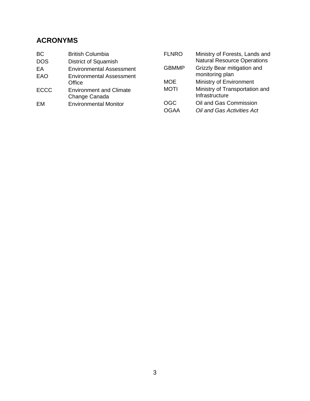### **ACRONYMS**

| <b>BC</b>   | <b>British Columbia</b>         | <b>FLNRO</b> | Ministry of Forests, Lands and     |
|-------------|---------------------------------|--------------|------------------------------------|
| <b>DOS</b>  | District of Squamish            |              | <b>Natural Resource Operations</b> |
| EA          | <b>Environmental Assessment</b> | <b>GBMMP</b> | Grizzly Bear mitigation and        |
| EAO         | <b>Environmental Assessment</b> |              | monitoring plan                    |
|             | Office                          | <b>MOE</b>   | Ministry of Environment            |
| <b>ECCC</b> | <b>Environment and Climate</b>  | <b>MOTI</b>  | Ministry of Transportation and     |
|             | Change Canada                   |              | Infrastructure                     |
| EM          | <b>Environmental Monitor</b>    | <b>OGC</b>   | Oil and Gas Commission             |
|             |                                 | <b>OGAA</b>  | Oil and Gas Activities Act         |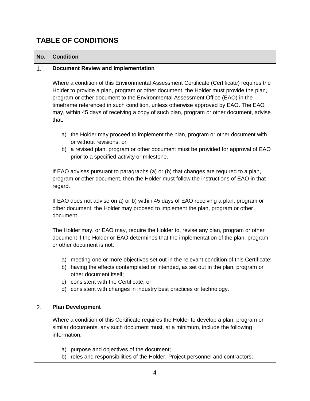### **TABLE OF CONDITIONS**

| No. | <b>Condition</b>                                                                                                                                                                                                                                                                                                                                                                                                                                              |  |  |
|-----|---------------------------------------------------------------------------------------------------------------------------------------------------------------------------------------------------------------------------------------------------------------------------------------------------------------------------------------------------------------------------------------------------------------------------------------------------------------|--|--|
| 1.  | <b>Document Review and Implementation</b>                                                                                                                                                                                                                                                                                                                                                                                                                     |  |  |
|     | Where a condition of this Environmental Assessment Certificate (Certificate) requires the<br>Holder to provide a plan, program or other document, the Holder must provide the plan,<br>program or other document to the Environmental Assessment Office (EAO) in the<br>timeframe referenced in such condition, unless otherwise approved by EAO. The EAO<br>may, within 45 days of receiving a copy of such plan, program or other document, advise<br>that: |  |  |
|     | a) the Holder may proceed to implement the plan, program or other document with<br>or without revisions; or<br>b) a revised plan, program or other document must be provided for approval of EAO<br>prior to a specified activity or milestone.                                                                                                                                                                                                               |  |  |
|     | If EAO advises pursuant to paragraphs (a) or (b) that changes are required to a plan,<br>program or other document, then the Holder must follow the instructions of EAO in that<br>regard.                                                                                                                                                                                                                                                                    |  |  |
|     | If EAO does not advise on a) or b) within 45 days of EAO receiving a plan, program or<br>other document, the Holder may proceed to implement the plan, program or other<br>document.                                                                                                                                                                                                                                                                          |  |  |
|     | The Holder may, or EAO may, require the Holder to, revise any plan, program or other<br>document if the Holder or EAO determines that the implementation of the plan, program<br>or other document is not:                                                                                                                                                                                                                                                    |  |  |
|     | a) meeting one or more objectives set out in the relevant condition of this Certificate;<br>having the effects contemplated or intended, as set out in the plan, program or<br>b)<br>other document itself;                                                                                                                                                                                                                                                   |  |  |
|     | c) consistent with the Certificate; or<br>d) consistent with changes in industry best practices or technology.                                                                                                                                                                                                                                                                                                                                                |  |  |
| 2.  | <b>Plan Development</b>                                                                                                                                                                                                                                                                                                                                                                                                                                       |  |  |
|     | Where a condition of this Certificate requires the Holder to develop a plan, program or<br>similar documents, any such document must, at a minimum, include the following<br>information:                                                                                                                                                                                                                                                                     |  |  |
|     | a) purpose and objectives of the document;<br>b) roles and responsibilities of the Holder, Project personnel and contractors;                                                                                                                                                                                                                                                                                                                                 |  |  |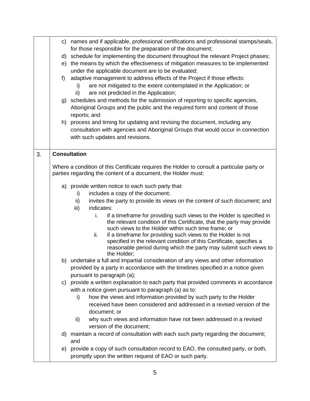|    |       | c) names and if applicable, professional certifications and professional stamps/seals,                                                    |
|----|-------|-------------------------------------------------------------------------------------------------------------------------------------------|
|    |       | for those responsible for the preparation of the document;                                                                                |
|    |       | d) schedule for implementing the document throughout the relevant Project phases;                                                         |
|    |       | e) the means by which the effectiveness of mitigation measures to be implemented                                                          |
|    |       | under the applicable document are to be evaluated;                                                                                        |
|    | $f$ ) | adaptive management to address effects of the Project if those effects:                                                                   |
|    |       | are not mitigated to the extent contemplated in the Application; or<br>i)                                                                 |
|    |       | are not predicted in the Application;<br>ii)                                                                                              |
|    |       | g) schedules and methods for the submission of reporting to specific agencies,                                                            |
|    |       | Aboriginal Groups and the public and the required form and content of those                                                               |
|    |       | reports; and                                                                                                                              |
|    |       | h) process and timing for updating and revising the document, including any                                                               |
|    |       | consultation with agencies and Aboriginal Groups that would occur in connection                                                           |
|    |       | with such updates and revisions.                                                                                                          |
|    |       |                                                                                                                                           |
| 3. |       | <b>Consultation</b>                                                                                                                       |
|    |       |                                                                                                                                           |
|    |       | Where a condition of this Certificate requires the Holder to consult a particular party or                                                |
|    |       | parties regarding the content of a document, the Holder must:                                                                             |
|    |       | a) provide written notice to each such party that:                                                                                        |
|    |       | includes a copy of the document;<br>i)                                                                                                    |
|    |       | ii)<br>invites the party to provide its views on the content of such document; and                                                        |
|    |       | indicates:<br>iii)                                                                                                                        |
|    |       | i.<br>if a timeframe for providing such views to the Holder is specified in                                                               |
|    |       | the relevant condition of this Certificate, that the party may provide                                                                    |
|    |       | such views to the Holder within such time frame; or                                                                                       |
|    |       | if a timeframe for providing such views to the Holder is not<br>ii.                                                                       |
|    |       | specified in the relevant condition of this Certificate, specifies a<br>reasonable period during which the party may submit such views to |
|    |       | the Holder;                                                                                                                               |
|    |       | b) undertake a full and impartial consideration of any views and other information                                                        |
|    |       | provided by a party in accordance with the timelines specified in a notice given                                                          |
|    |       | pursuant to paragraph (a);                                                                                                                |
|    |       | c) provide a written explanation to each party that provided comments in accordance                                                       |
|    |       | with a notice given pursuant to paragraph (a) as to:                                                                                      |
|    |       | how the views and information provided by such party to the Holder<br>i)                                                                  |
|    |       | received have been considered and addressed in a revised version of the                                                                   |
|    |       | document; or                                                                                                                              |
|    |       | why such views and information have not been addressed in a revised<br>ii)                                                                |
|    |       | version of the document;                                                                                                                  |
|    |       | d) maintain a record of consultation with each such party regarding the document;                                                         |
|    |       | and                                                                                                                                       |
|    |       | e) provide a copy of such consultation record to EAO, the consulted party, or both,                                                       |
|    |       | promptly upon the written request of EAO or such party.                                                                                   |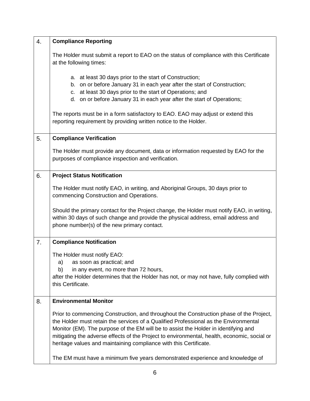| 4. | <b>Compliance Reporting</b>                                                                                                                                                                                                                                                                                                                                                                                                                |
|----|--------------------------------------------------------------------------------------------------------------------------------------------------------------------------------------------------------------------------------------------------------------------------------------------------------------------------------------------------------------------------------------------------------------------------------------------|
|    | The Holder must submit a report to EAO on the status of compliance with this Certificate<br>at the following times:                                                                                                                                                                                                                                                                                                                        |
|    | a. at least 30 days prior to the start of Construction;<br>b. on or before January 31 in each year after the start of Construction;<br>c. at least 30 days prior to the start of Operations; and<br>d. on or before January 31 in each year after the start of Operations;                                                                                                                                                                 |
|    | The reports must be in a form satisfactory to EAO. EAO may adjust or extend this<br>reporting requirement by providing written notice to the Holder.                                                                                                                                                                                                                                                                                       |
| 5. | <b>Compliance Verification</b>                                                                                                                                                                                                                                                                                                                                                                                                             |
|    | The Holder must provide any document, data or information requested by EAO for the<br>purposes of compliance inspection and verification.                                                                                                                                                                                                                                                                                                  |
| 6. | <b>Project Status Notification</b>                                                                                                                                                                                                                                                                                                                                                                                                         |
|    | The Holder must notify EAO, in writing, and Aboriginal Groups, 30 days prior to<br>commencing Construction and Operations.                                                                                                                                                                                                                                                                                                                 |
|    | Should the primary contact for the Project change, the Holder must notify EAO, in writing,<br>within 30 days of such change and provide the physical address, email address and<br>phone number(s) of the new primary contact.                                                                                                                                                                                                             |
| 7. | <b>Compliance Notification</b>                                                                                                                                                                                                                                                                                                                                                                                                             |
|    | The Holder must notify EAO:<br>as soon as practical; and<br>a)<br>in any event, no more than 72 hours,<br>b)<br>after the Holder determines that the Holder has not, or may not have, fully complied with<br>this Certificate.                                                                                                                                                                                                             |
| 8. | <b>Environmental Monitor</b>                                                                                                                                                                                                                                                                                                                                                                                                               |
|    | Prior to commencing Construction, and throughout the Construction phase of the Project,<br>the Holder must retain the services of a Qualified Professional as the Environmental<br>Monitor (EM). The purpose of the EM will be to assist the Holder in identifying and<br>mitigating the adverse effects of the Project to environmental, health, economic, social or<br>heritage values and maintaining compliance with this Certificate. |
|    | The EM must have a minimum five years demonstrated experience and knowledge of                                                                                                                                                                                                                                                                                                                                                             |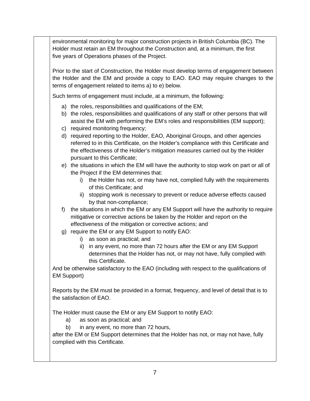environmental monitoring for major construction projects in British Columbia (BC). The Holder must retain an EM throughout the Construction and, at a minimum, the first five years of Operations phases of the Project.

Prior to the start of Construction, the Holder must develop terms of engagement between the Holder and the EM and provide a copy to EAO. EAO may require changes to the terms of engagement related to items a) to e) below.

Such terms of engagement must include, at a minimum, the following:

- a) the roles, responsibilities and qualifications of the EM;
- b) the roles, responsibilities and qualifications of any staff or other persons that will assist the EM with performing the EM's roles and responsibilities (EM support);
- c) required monitoring frequency;
- d) required reporting to the Holder, EAO, Aboriginal Groups, and other agencies referred to in this Certificate, on the Holder's compliance with this Certificate and the effectiveness of the Holder's mitigation measures carried out by the Holder pursuant to this Certificate;
- e) the situations in which the EM will have the authority to stop work on part or all of the Project if the EM determines that:
	- i) the Holder has not, or may have not, complied fully with the requirements of this Certificate; and
	- ii) stopping work is necessary to prevent or reduce adverse effects caused by that non-compliance;
- f) the situations in which the EM or any EM Support will have the authority to require mitigative or corrective actions be taken by the Holder and report on the effectiveness of the mitigation or corrective actions; and
- g) require the EM or any EM Support to notify EAO:
	- i) as soon as practical; and
	- ii) in any event, no more than 72 hours after the EM or any EM Support determines that the Holder has not, or may not have, fully complied with this Certificate.

And be otherwise satisfactory to the EAO (including with respect to the qualifications of EM Support)

Reports by the EM must be provided in a format, frequency, and level of detail that is to the satisfaction of EAO.

The Holder must cause the EM or any EM Support to notify EAO:

- a) as soon as practical; and
- b) in any event, no more than 72 hours,

after the EM or EM Support determines that the Holder has not, or may not have, fully complied with this Certificate.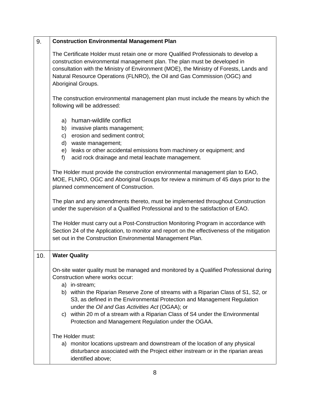| 9.  | <b>Construction Environmental Management Plan</b>                                                                                                                                                                                                                                                                                                              |  |
|-----|----------------------------------------------------------------------------------------------------------------------------------------------------------------------------------------------------------------------------------------------------------------------------------------------------------------------------------------------------------------|--|
|     | The Certificate Holder must retain one or more Qualified Professionals to develop a<br>construction environmental management plan. The plan must be developed in<br>consultation with the Ministry of Environment (MOE), the Ministry of Forests, Lands and<br>Natural Resource Operations (FLNRO), the Oil and Gas Commission (OGC) and<br>Aboriginal Groups. |  |
|     | The construction environmental management plan must include the means by which the<br>following will be addressed:                                                                                                                                                                                                                                             |  |
|     | a) human-wildlife conflict<br>b) invasive plants management;<br>erosion and sediment control;<br>C)<br>d) waste management;<br>leaks or other accidental emissions from machinery or equipment; and<br>e)                                                                                                                                                      |  |
|     | $f$ )<br>acid rock drainage and metal leachate management.                                                                                                                                                                                                                                                                                                     |  |
|     | The Holder must provide the construction environmental management plan to EAO,<br>MOE, FLNRO, OGC and Aboriginal Groups for review a minimum of 45 days prior to the<br>planned commencement of Construction.                                                                                                                                                  |  |
|     | The plan and any amendments thereto, must be implemented throughout Construction<br>under the supervision of a Qualified Professional and to the satisfaction of EAO.                                                                                                                                                                                          |  |
|     | The Holder must carry out a Post-Construction Monitoring Program in accordance with<br>Section 24 of the Application, to monitor and report on the effectiveness of the mitigation<br>set out in the Construction Environmental Management Plan.                                                                                                               |  |
| 10. | <b>Water Quality</b>                                                                                                                                                                                                                                                                                                                                           |  |
|     | On-site water quality must be managed and monitored by a Qualified Professional during<br>Construction where works occur:<br>a) in-stream;                                                                                                                                                                                                                     |  |
|     | b) within the Riparian Reserve Zone of streams with a Riparian Class of S1, S2, or<br>S3, as defined in the Environmental Protection and Management Regulation<br>under the Oil and Gas Activities Act (OGAA); or                                                                                                                                              |  |
|     | c) within 20 m of a stream with a Riparian Class of S4 under the Environmental<br>Protection and Management Regulation under the OGAA.                                                                                                                                                                                                                         |  |
|     | The Holder must:<br>a) monitor locations upstream and downstream of the location of any physical<br>disturbance associated with the Project either instream or in the riparian areas<br>identified above;                                                                                                                                                      |  |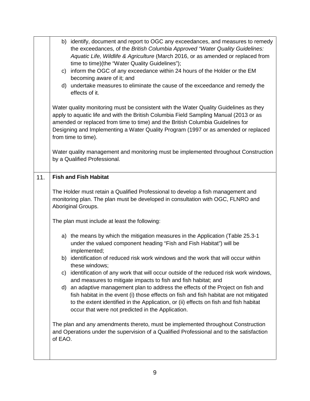|     | b) identify, document and report to OGC any exceedances, and measures to remedy<br>the exceedances, of the British Columbia Approved "Water Quality Guidelines:<br>Aquatic Life, Wildlife & Agriculture (March 2016, or as amended or replaced from<br>time to time)(the "Water Quality Guidelines");<br>c) inform the OGC of any exceedance within 24 hours of the Holder or the EM<br>becoming aware of it; and<br>d) undertake measures to eliminate the cause of the exceedance and remedy the<br>effects of it. |  |
|-----|----------------------------------------------------------------------------------------------------------------------------------------------------------------------------------------------------------------------------------------------------------------------------------------------------------------------------------------------------------------------------------------------------------------------------------------------------------------------------------------------------------------------|--|
|     | Water quality monitoring must be consistent with the Water Quality Guidelines as they<br>apply to aquatic life and with the British Columbia Field Sampling Manual (2013 or as<br>amended or replaced from time to time) and the British Columbia Guidelines for<br>Designing and Implementing a Water Quality Program (1997 or as amended or replaced<br>from time to time).                                                                                                                                        |  |
|     | Water quality management and monitoring must be implemented throughout Construction<br>by a Qualified Professional.                                                                                                                                                                                                                                                                                                                                                                                                  |  |
| 11. | <b>Fish and Fish Habitat</b>                                                                                                                                                                                                                                                                                                                                                                                                                                                                                         |  |
|     | The Holder must retain a Qualified Professional to develop a fish management and<br>monitoring plan. The plan must be developed in consultation with OGC, FLNRO and<br>Aboriginal Groups.                                                                                                                                                                                                                                                                                                                            |  |
|     | The plan must include at least the following:                                                                                                                                                                                                                                                                                                                                                                                                                                                                        |  |
|     | a) the means by which the mitigation measures in the Application (Table 25.3-1)<br>under the valued component heading "Fish and Fish Habitat") will be<br>implemented;                                                                                                                                                                                                                                                                                                                                               |  |
|     | b) identification of reduced risk work windows and the work that will occur within<br>these windows;                                                                                                                                                                                                                                                                                                                                                                                                                 |  |
|     | c) identification of any work that will occur outside of the reduced risk work windows,<br>and measures to mitigate impacts to fish and fish habitat; and                                                                                                                                                                                                                                                                                                                                                            |  |
|     | d) an adaptive management plan to address the effects of the Project on fish and<br>fish habitat in the event (i) those effects on fish and fish habitat are not mitigated<br>to the extent identified in the Application, or (ii) effects on fish and fish habitat<br>occur that were not predicted in the Application.                                                                                                                                                                                             |  |
|     | The plan and any amendments thereto, must be implemented throughout Construction<br>and Operations under the supervision of a Qualified Professional and to the satisfaction<br>of EAO.                                                                                                                                                                                                                                                                                                                              |  |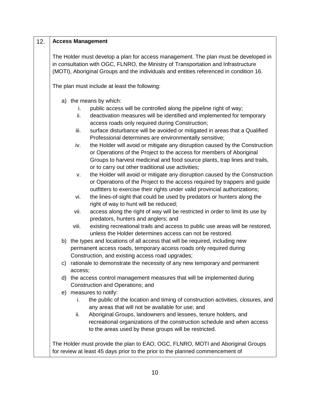#### 12. **Access Management**

The Holder must develop a plan for access management. The plan must be developed in in consultation with OGC, FLNRO, the Ministry of Transportation and Infrastructure (MOTI), Aboriginal Groups and the individuals and entities referenced in condition 16.

The plan must include at least the following:

- a) the means by which:
	- i. public access will be controlled along the pipeline right of way;
	- ii. deactivation measures will be identified and implemented for temporary access roads only required during Construction;
	- iii. surface disturbance will be avoided or mitigated in areas that a Qualified Professional determines are environmentally sensitive;
	- iv. the Holder will avoid or mitigate any disruption caused by the Construction or Operations of the Project to the access for members of Aboriginal Groups to harvest medicinal and food source plants, trap lines and trails, or to carry out other traditional use activities;
	- v. the Holder will avoid or mitigate any disruption caused by the Construction or Operations of the Project to the access required by trappers and guide outfitters to exercise their rights under valid provincial authorizations;
	- vi. the lines-of-sight that could be used by predators or hunters along the right of way to hunt will be reduced;
	- vii. access along the right of way will be restricted in order to limit its use by predators, hunters and anglers; and
	- viii. existing recreational trails and access to public use areas will be restored, unless the Holder determines access can not be restored.
- b) the types and locations of all access that will be required, including new permanent access roads, temporary access roads only required during Construction, and existing access road upgrades;
- c) rationale to demonstrate the necessity of any new temporary and permanent access;
- d) the access control management measures that will be implemented during Construction and Operations; and
- e) measures to notify:
	- i. the public of the location and timing of construction activities, closures, and any areas that will not be available for use; and
	- ii. Aboriginal Groups, landowners and lessees, tenure holders, and recreational organizations of the construction schedule and when access to the areas used by these groups will be restricted.

The Holder must provide the plan to EAO, OGC, FLNRO, MOTI and Aboriginal Groups for review at least 45 days prior to the prior to the planned commencement of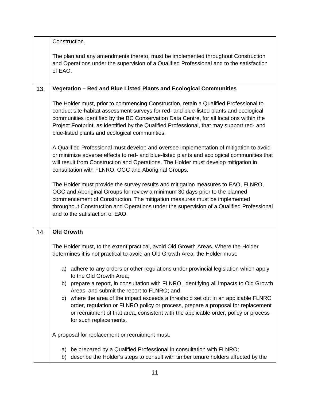|     | Construction.                                                                                                                                                                                                                                                                                                                                                                                                             |
|-----|---------------------------------------------------------------------------------------------------------------------------------------------------------------------------------------------------------------------------------------------------------------------------------------------------------------------------------------------------------------------------------------------------------------------------|
|     | The plan and any amendments thereto, must be implemented throughout Construction<br>and Operations under the supervision of a Qualified Professional and to the satisfaction<br>of EAO.                                                                                                                                                                                                                                   |
| 13. | Vegetation - Red and Blue Listed Plants and Ecological Communities                                                                                                                                                                                                                                                                                                                                                        |
|     | The Holder must, prior to commencing Construction, retain a Qualified Professional to<br>conduct site habitat assessment surveys for red- and blue-listed plants and ecological<br>communities identified by the BC Conservation Data Centre, for all locations within the<br>Project Footprint, as identified by the Qualified Professional, that may support red- and<br>blue-listed plants and ecological communities. |
|     | A Qualified Professional must develop and oversee implementation of mitigation to avoid<br>or minimize adverse effects to red- and blue-listed plants and ecological communities that<br>will result from Construction and Operations. The Holder must develop mitigation in<br>consultation with FLNRO, OGC and Aboriginal Groups.                                                                                       |
|     | The Holder must provide the survey results and mitigation measures to EAO, FLNRO,<br>OGC and Aboriginal Groups for review a minimum 30 days prior to the planned<br>commencement of Construction. The mitigation measures must be implemented<br>throughout Construction and Operations under the supervision of a Qualified Professional<br>and to the satisfaction of EAO.                                              |
| 14. | <b>Old Growth</b>                                                                                                                                                                                                                                                                                                                                                                                                         |
|     | The Holder must, to the extent practical, avoid Old Growth Areas. Where the Holder<br>determines it is not practical to avoid an Old Growth Area, the Holder must:                                                                                                                                                                                                                                                        |
|     | a) adhere to any orders or other regulations under provincial legislation which apply<br>to the Old Growth Area;                                                                                                                                                                                                                                                                                                          |
|     | b) prepare a report, in consultation with FLNRO, identifying all impacts to Old Growth<br>Areas, and submit the report to FLNRO; and                                                                                                                                                                                                                                                                                      |
|     | c) where the area of the impact exceeds a threshold set out in an applicable FLNRO<br>order, regulation or FLNRO policy or process, prepare a proposal for replacement<br>or recruitment of that area, consistent with the applicable order, policy or process<br>for such replacements.                                                                                                                                  |
|     | A proposal for replacement or recruitment must:                                                                                                                                                                                                                                                                                                                                                                           |
|     | a) be prepared by a Qualified Professional in consultation with FLNRO;<br>b) describe the Holder's steps to consult with timber tenure holders affected by the                                                                                                                                                                                                                                                            |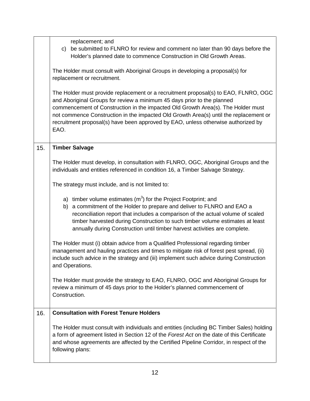|     | replacement; and<br>be submitted to FLNRO for review and comment no later than 90 days before the<br>C)<br>Holder's planned date to commence Construction in Old Growth Areas.<br>The Holder must consult with Aboriginal Groups in developing a proposal(s) for<br>replacement or recruitment.<br>The Holder must provide replacement or a recruitment proposal(s) to EAO, FLNRO, OGC<br>and Aboriginal Groups for review a minimum 45 days prior to the planned<br>commencement of Construction in the impacted Old Growth Area(s). The Holder must<br>not commence Construction in the impacted Old Growth Area(s) until the replacement or<br>recruitment proposal(s) have been approved by EAO, unless otherwise authorized by<br>EAO. |
|-----|---------------------------------------------------------------------------------------------------------------------------------------------------------------------------------------------------------------------------------------------------------------------------------------------------------------------------------------------------------------------------------------------------------------------------------------------------------------------------------------------------------------------------------------------------------------------------------------------------------------------------------------------------------------------------------------------------------------------------------------------|
| 15. | <b>Timber Salvage</b>                                                                                                                                                                                                                                                                                                                                                                                                                                                                                                                                                                                                                                                                                                                       |
|     | The Holder must develop, in consultation with FLNRO, OGC, Aboriginal Groups and the<br>individuals and entities referenced in condition 16, a Timber Salvage Strategy.                                                                                                                                                                                                                                                                                                                                                                                                                                                                                                                                                                      |
|     | The strategy must include, and is not limited to:                                                                                                                                                                                                                                                                                                                                                                                                                                                                                                                                                                                                                                                                                           |
|     | a) timber volume estimates $(m^3)$ for the Project Footprint; and<br>b) a commitment of the Holder to prepare and deliver to FLNRO and EAO a<br>reconciliation report that includes a comparison of the actual volume of scaled<br>timber harvested during Construction to such timber volume estimates at least<br>annually during Construction until timber harvest activities are complete.                                                                                                                                                                                                                                                                                                                                              |
|     | The Holder must (i) obtain advice from a Qualified Professional regarding timber<br>management and hauling practices and times to mitigate risk of forest pest spread, (ii)<br>include such advice in the strategy and (iii) implement such advice during Construction<br>and Operations.                                                                                                                                                                                                                                                                                                                                                                                                                                                   |
|     | The Holder must provide the strategy to EAO, FLNRO, OGC and Aboriginal Groups for<br>review a minimum of 45 days prior to the Holder's planned commencement of<br>Construction.                                                                                                                                                                                                                                                                                                                                                                                                                                                                                                                                                             |
| 16. | <b>Consultation with Forest Tenure Holders</b>                                                                                                                                                                                                                                                                                                                                                                                                                                                                                                                                                                                                                                                                                              |
|     | The Holder must consult with individuals and entities (including BC Timber Sales) holding<br>a form of agreement listed in Section 12 of the Forest Act on the date of this Certificate<br>and whose agreements are affected by the Certified Pipeline Corridor, in respect of the<br>following plans:                                                                                                                                                                                                                                                                                                                                                                                                                                      |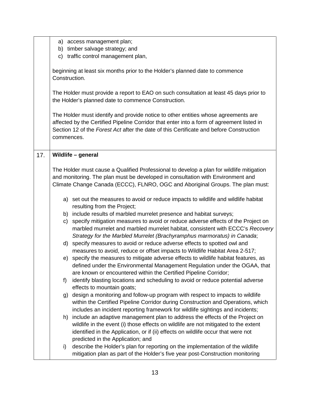|     |               | a) access management plan;                                                                                                                                                                                                                                                 |
|-----|---------------|----------------------------------------------------------------------------------------------------------------------------------------------------------------------------------------------------------------------------------------------------------------------------|
|     | b)            | timber salvage strategy; and                                                                                                                                                                                                                                               |
|     | C)            | traffic control management plan,                                                                                                                                                                                                                                           |
|     | Construction. | beginning at least six months prior to the Holder's planned date to commence                                                                                                                                                                                               |
|     |               | The Holder must provide a report to EAO on such consultation at least 45 days prior to<br>the Holder's planned date to commence Construction.                                                                                                                              |
|     | commences.    | The Holder must identify and provide notice to other entities whose agreements are<br>affected by the Certified Pipeline Corridor that enter into a form of agreement listed in<br>Section 12 of the Forest Act after the date of this Certificate and before Construction |
| 17. |               | Wildlife - general                                                                                                                                                                                                                                                         |
|     |               | The Holder must cause a Qualified Professional to develop a plan for wildlife mitigation                                                                                                                                                                                   |
|     |               | and monitoring. The plan must be developed in consultation with Environment and                                                                                                                                                                                            |
|     |               | Climate Change Canada (ECCC), FLNRO, OGC and Aboriginal Groups. The plan must:                                                                                                                                                                                             |
|     |               | a) set out the measures to avoid or reduce impacts to wildlife and wildlife habitat<br>resulting from the Project;                                                                                                                                                         |
|     |               | b) include results of marbled murrelet presence and habitat surveys;                                                                                                                                                                                                       |
|     | C)            | specify mitigation measures to avoid or reduce adverse effects of the Project on<br>marbled murrelet and marbled murrelet habitat, consistent with ECCC's Recovery<br>Strategy for the Marbled Murrelet (Brachyramphus marmoratus) in Canada;                              |
|     |               | d) specify measures to avoid or reduce adverse effects to spotted owl and                                                                                                                                                                                                  |
|     |               | measures to avoid, reduce or offset impacts to Wildlife Habitat Area 2-517;                                                                                                                                                                                                |
|     |               | e) specify the measures to mitigate adverse effects to wildlife habitat features, as<br>defined under the Environmental Management Regulation under the OGAA, that<br>are known or encountered within the Certified Pipeline Corridor;                                     |
|     | f)            | identify blasting locations and scheduling to avoid or reduce potential adverse<br>effects to mountain goats;                                                                                                                                                              |
|     | g)            | design a monitoring and follow-up program with respect to impacts to wildlife                                                                                                                                                                                              |
|     |               | within the Certified Pipeline Corridor during Construction and Operations, which                                                                                                                                                                                           |
|     |               | includes an incident reporting framework for wildlife sightings and incidents;                                                                                                                                                                                             |
|     | h)            | include an adaptive management plan to address the effects of the Project on                                                                                                                                                                                               |
|     |               | wildlife in the event (i) those effects on wildlife are not mitigated to the extent                                                                                                                                                                                        |
|     |               | identified in the Application, or if (ii) effects on wildlife occur that were not                                                                                                                                                                                          |
|     |               | predicted in the Application; and                                                                                                                                                                                                                                          |
|     | i)            | describe the Holder's plan for reporting on the implementation of the wildlife<br>mitigation plan as part of the Holder's five year post-Construction monitoring                                                                                                           |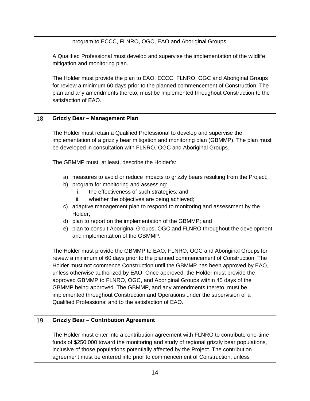|     | program to ECCC, FLNRO, OGC, EAO and Aboriginal Groups.                                                                                                                                                                                                                                                                                                                                                                                                                                                                                                                                                                                   |
|-----|-------------------------------------------------------------------------------------------------------------------------------------------------------------------------------------------------------------------------------------------------------------------------------------------------------------------------------------------------------------------------------------------------------------------------------------------------------------------------------------------------------------------------------------------------------------------------------------------------------------------------------------------|
|     | A Qualified Professional must develop and supervise the implementation of the wildlife<br>mitigation and monitoring plan.                                                                                                                                                                                                                                                                                                                                                                                                                                                                                                                 |
|     | The Holder must provide the plan to EAO, ECCC, FLNRO, OGC and Aboriginal Groups<br>for review a minimum 60 days prior to the planned commencement of Construction. The<br>plan and any amendments thereto, must be implemented throughout Construction to the<br>satisfaction of EAO.                                                                                                                                                                                                                                                                                                                                                     |
| 18. | <b>Grizzly Bear - Management Plan</b>                                                                                                                                                                                                                                                                                                                                                                                                                                                                                                                                                                                                     |
|     | The Holder must retain a Qualified Professional to develop and supervise the<br>implementation of a grizzly bear mitigation and monitoring plan (GBMMP). The plan must<br>be developed in consultation with FLNRO, OGC and Aboriginal Groups.                                                                                                                                                                                                                                                                                                                                                                                             |
|     | The GBMMP must, at least, describe the Holder's:                                                                                                                                                                                                                                                                                                                                                                                                                                                                                                                                                                                          |
|     | a) measures to avoid or reduce impacts to grizzly bears resulting from the Project;<br>b) program for monitoring and assessing:<br>the effectiveness of such strategies; and<br>İ.<br>whether the objectives are being achieved;<br>ii.<br>c) adaptive management plan to respond to monitoring and assessment by the                                                                                                                                                                                                                                                                                                                     |
|     | Holder;<br>d) plan to report on the implementation of the GBMMP; and<br>e) plan to consult Aboriginal Groups, OGC and FLNRO throughout the development<br>and implementation of the GBMMP.                                                                                                                                                                                                                                                                                                                                                                                                                                                |
|     | The Holder must provide the GBMMP to EAO, FLNRO, OGC and Aboriginal Groups for<br>review a minimum of 60 days prior to the planned commencement of Construction. The<br>Holder must not commence Construction until the GBMMP has been approved by EAO,<br>unless otherwise authorized by EAO. Once approved, the Holder must provide the<br>approved GBMMP to FLNRO, OGC, and Aboriginal Groups within 45 days of the<br>GBMMP being approved. The GBMMP, and any amendments thereto, must be<br>implemented throughout Construction and Operations under the supervision of a<br>Qualified Professional and to the satisfaction of EAO. |
| 19. | <b>Grizzly Bear - Contribution Agreement</b>                                                                                                                                                                                                                                                                                                                                                                                                                                                                                                                                                                                              |
|     | The Holder must enter into a contribution agreement with FLNRO to contribute one-time<br>funds of \$250,000 toward the monitoring and study of regional grizzly bear populations,<br>inclusive of those populations potentially affected by the Project. The contribution<br>agreement must be entered into prior to commencement of Construction, unless                                                                                                                                                                                                                                                                                 |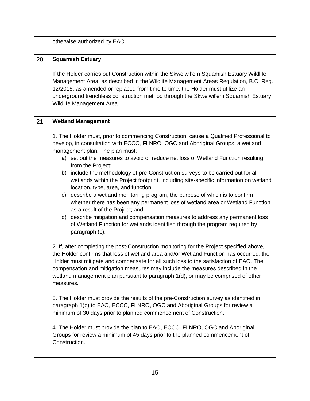|     | otherwise authorized by EAO.                                                                                                                                                                                                                                                                                                                                                                                                                                                                                                                                                                                                                                                                                                                                                                                                                                                                                                       |  |
|-----|------------------------------------------------------------------------------------------------------------------------------------------------------------------------------------------------------------------------------------------------------------------------------------------------------------------------------------------------------------------------------------------------------------------------------------------------------------------------------------------------------------------------------------------------------------------------------------------------------------------------------------------------------------------------------------------------------------------------------------------------------------------------------------------------------------------------------------------------------------------------------------------------------------------------------------|--|
| 20. | <b>Squamish Estuary</b>                                                                                                                                                                                                                                                                                                                                                                                                                                                                                                                                                                                                                                                                                                                                                                                                                                                                                                            |  |
|     | If the Holder carries out Construction within the Skwelwil'em Squamish Estuary Wildlife<br>Management Area, as described in the Wildlife Management Areas Regulation, B.C. Reg.<br>12/2015, as amended or replaced from time to time, the Holder must utilize an<br>underground trenchless construction method through the Skwelwil'em Squamish Estuary<br>Wildlife Management Area.                                                                                                                                                                                                                                                                                                                                                                                                                                                                                                                                               |  |
| 21. | <b>Wetland Management</b>                                                                                                                                                                                                                                                                                                                                                                                                                                                                                                                                                                                                                                                                                                                                                                                                                                                                                                          |  |
|     | 1. The Holder must, prior to commencing Construction, cause a Qualified Professional to<br>develop, in consultation with ECCC, FLNRO, OGC and Aboriginal Groups, a wetland<br>management plan. The plan must:<br>a) set out the measures to avoid or reduce net loss of Wetland Function resulting<br>from the Project;<br>b) include the methodology of pre-Construction surveys to be carried out for all<br>wetlands within the Project footprint, including site-specific information on wetland<br>location, type, area, and function;<br>c) describe a wetland monitoring program, the purpose of which is to confirm<br>whether there has been any permanent loss of wetland area or Wetland Function<br>as a result of the Project; and<br>d) describe mitigation and compensation measures to address any permanent loss<br>of Wetland Function for wetlands identified through the program required by<br>paragraph (c). |  |
|     | 2. If, after completing the post-Construction monitoring for the Project specified above,<br>the Holder confirms that loss of wetland area and/or Wetland Function has occurred, the<br>Holder must mitigate and compensate for all such loss to the satisfaction of EAO. The<br>compensation and mitigation measures may include the measures described in the<br>wetland management plan pursuant to paragraph 1(d), or may be comprised of other<br>measures.                                                                                                                                                                                                                                                                                                                                                                                                                                                                   |  |
|     | 3. The Holder must provide the results of the pre-Construction survey as identified in<br>paragraph 1(b) to EAO, ECCC, FLNRO, OGC and Aboriginal Groups for review a<br>minimum of 30 days prior to planned commencement of Construction.                                                                                                                                                                                                                                                                                                                                                                                                                                                                                                                                                                                                                                                                                          |  |
|     | 4. The Holder must provide the plan to EAO, ECCC, FLNRO, OGC and Aboriginal<br>Groups for review a minimum of 45 days prior to the planned commencement of<br>Construction.                                                                                                                                                                                                                                                                                                                                                                                                                                                                                                                                                                                                                                                                                                                                                        |  |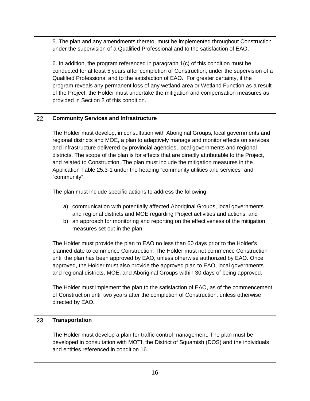|     | 5. The plan and any amendments thereto, must be implemented throughout Construction<br>under the supervision of a Qualified Professional and to the satisfaction of EAO.                                                                                                                                                                                                                                                                                                                                                                                             |
|-----|----------------------------------------------------------------------------------------------------------------------------------------------------------------------------------------------------------------------------------------------------------------------------------------------------------------------------------------------------------------------------------------------------------------------------------------------------------------------------------------------------------------------------------------------------------------------|
|     | 6. In addition, the program referenced in paragraph 1(c) of this condition must be<br>conducted for at least 5 years after completion of Construction, under the supervision of a<br>Qualified Professional and to the satisfaction of EAO. For greater certainty, if the<br>program reveals any permanent loss of any wetland area or Wetland Function as a result<br>of the Project, the Holder must undertake the mitigation and compensation measures as<br>provided in Section 2 of this condition.                                                             |
| 22. | <b>Community Services and Infrastructure</b>                                                                                                                                                                                                                                                                                                                                                                                                                                                                                                                         |
|     | The Holder must develop, in consultation with Aboriginal Groups, local governments and<br>regional districts and MOE, a plan to adaptively manage and monitor effects on services<br>and infrastructure delivered by provincial agencies, local governments and regional<br>districts. The scope of the plan is for effects that are directly attributable to the Project,<br>and related to Construction. The plan must include the mitigation measures in the<br>Application Table 25.3-1 under the heading "community utilities and services" and<br>"community". |
|     | The plan must include specific actions to address the following:                                                                                                                                                                                                                                                                                                                                                                                                                                                                                                     |
|     | a) communication with potentially affected Aboriginal Groups, local governments<br>and regional districts and MOE regarding Project activities and actions; and<br>b) an approach for monitoring and reporting on the effectiveness of the mitigation<br>measures set out in the plan.                                                                                                                                                                                                                                                                               |
|     | The Holder must provide the plan to EAO no less than 60 days prior to the Holder's<br>planned date to commence Construction. The Holder must not commence Construction<br>until the plan has been approved by EAO, unless otherwise authorized by EAO. Once<br>approved, the Holder must also provide the approved plan to EAO, local governments<br>and regional districts, MOE, and Aboriginal Groups within 30 days of being approved.                                                                                                                            |
|     | The Holder must implement the plan to the satisfaction of EAO, as of the commencement<br>of Construction until two years after the completion of Construction, unless otherwise<br>directed by EAO.                                                                                                                                                                                                                                                                                                                                                                  |
| 23. | <b>Transportation</b>                                                                                                                                                                                                                                                                                                                                                                                                                                                                                                                                                |
|     | The Holder must develop a plan for traffic control management. The plan must be<br>developed in consultation with MOTI, the District of Squamish (DOS) and the individuals<br>and entities referenced in condition 16.                                                                                                                                                                                                                                                                                                                                               |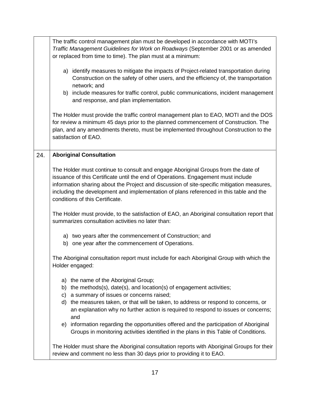|     | The traffic control management plan must be developed in accordance with MOTI's<br>Traffic Management Guidelines for Work on Roadways (September 2001 or as amended<br>or replaced from time to time). The plan must at a minimum:                                                                                                                                                                |
|-----|---------------------------------------------------------------------------------------------------------------------------------------------------------------------------------------------------------------------------------------------------------------------------------------------------------------------------------------------------------------------------------------------------|
|     | a) identify measures to mitigate the impacts of Project-related transportation during<br>Construction on the safety of other users, and the efficiency of, the transportation<br>network; and<br>b) include measures for traffic control, public communications, incident management<br>and response, and plan implementation.                                                                    |
|     | The Holder must provide the traffic control management plan to EAO, MOTI and the DOS<br>for review a minimum 45 days prior to the planned commencement of Construction. The<br>plan, and any amendments thereto, must be implemented throughout Construction to the<br>satisfaction of EAO.                                                                                                       |
| 24. | <b>Aboriginal Consultation</b>                                                                                                                                                                                                                                                                                                                                                                    |
|     | The Holder must continue to consult and engage Aboriginal Groups from the date of<br>issuance of this Certificate until the end of Operations. Engagement must include<br>information sharing about the Project and discussion of site-specific mitigation measures,<br>including the development and implementation of plans referenced in this table and the<br>conditions of this Certificate. |
|     | The Holder must provide, to the satisfaction of EAO, an Aboriginal consultation report that<br>summarizes consultation activities no later than:                                                                                                                                                                                                                                                  |
|     | a) two years after the commencement of Construction; and<br>b) one year after the commencement of Operations.                                                                                                                                                                                                                                                                                     |
|     | The Aboriginal consultation report must include for each Aboriginal Group with which the<br>Holder engaged:                                                                                                                                                                                                                                                                                       |
|     | a) the name of the Aboriginal Group;<br>b) the methods(s), date(s), and location(s) of engagement activities;<br>c) a summary of issues or concerns raised;<br>d) the measures taken, or that will be taken, to address or respond to concerns, or<br>an explanation why no further action is required to respond to issues or concerns;                                                          |
|     | and<br>e) information regarding the opportunities offered and the participation of Aboriginal<br>Groups in monitoring activities identified in the plans in this Table of Conditions.                                                                                                                                                                                                             |
|     | The Holder must share the Aboriginal consultation reports with Aboriginal Groups for their<br>review and comment no less than 30 days prior to providing it to EAO.                                                                                                                                                                                                                               |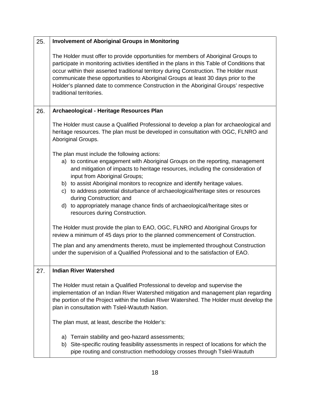| 25. | <b>Involvement of Aboriginal Groups in Monitoring</b>                                                                                                                                                                                                                                                                                                                                                                                                                                                                            |
|-----|----------------------------------------------------------------------------------------------------------------------------------------------------------------------------------------------------------------------------------------------------------------------------------------------------------------------------------------------------------------------------------------------------------------------------------------------------------------------------------------------------------------------------------|
|     | The Holder must offer to provide opportunities for members of Aboriginal Groups to<br>participate in monitoring activities identified in the plans in this Table of Conditions that<br>occur within their asserted traditional territory during Construction. The Holder must<br>communicate these opportunities to Aboriginal Groups at least 30 days prior to the<br>Holder's planned date to commence Construction in the Aboriginal Groups' respective<br>traditional territories.                                           |
| 26. | Archaeological - Heritage Resources Plan                                                                                                                                                                                                                                                                                                                                                                                                                                                                                         |
|     | The Holder must cause a Qualified Professional to develop a plan for archaeological and<br>heritage resources. The plan must be developed in consultation with OGC, FLNRO and<br>Aboriginal Groups.                                                                                                                                                                                                                                                                                                                              |
|     | The plan must include the following actions:<br>a) to continue engagement with Aboriginal Groups on the reporting, management<br>and mitigation of impacts to heritage resources, including the consideration of<br>input from Aboriginal Groups;<br>b) to assist Aboriginal monitors to recognize and identify heritage values.<br>c) to address potential disturbance of archaeological/heritage sites or resources<br>during Construction; and<br>d) to appropriately manage chance finds of archaeological/heritage sites or |
|     | resources during Construction.                                                                                                                                                                                                                                                                                                                                                                                                                                                                                                   |
|     | The Holder must provide the plan to EAO, OGC, FLNRO and Aboriginal Groups for<br>review a minimum of 45 days prior to the planned commencement of Construction.                                                                                                                                                                                                                                                                                                                                                                  |
|     | The plan and any amendments thereto, must be implemented throughout Construction<br>under the supervision of a Qualified Professional and to the satisfaction of EAO.                                                                                                                                                                                                                                                                                                                                                            |
| 27. | <b>Indian River Watershed</b>                                                                                                                                                                                                                                                                                                                                                                                                                                                                                                    |
|     | The Holder must retain a Qualified Professional to develop and supervise the<br>implementation of an Indian River Watershed mitigation and management plan regarding<br>the portion of the Project within the Indian River Watershed. The Holder must develop the<br>plan in consultation with Tsleil-Waututh Nation.                                                                                                                                                                                                            |
|     | The plan must, at least, describe the Holder's:                                                                                                                                                                                                                                                                                                                                                                                                                                                                                  |
|     | Terrain stability and geo-hazard assessments;<br>a)<br>b) Site-specific routing feasibility assessments in respect of locations for which the<br>pipe routing and construction methodology crosses through Tsleil-Waututh                                                                                                                                                                                                                                                                                                        |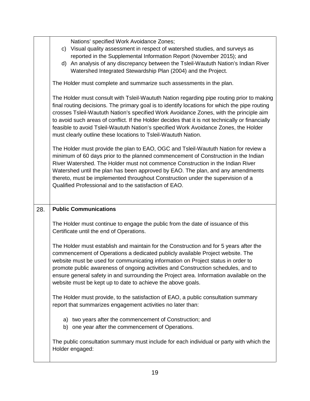|     | Nations' specified Work Avoidance Zones;<br>Visual quality assessment in respect of watershed studies, and surveys as<br>C)<br>reported in the Supplemental Information Report (November 2015); and<br>d) An analysis of any discrepancy between the Tsleil-Waututh Nation's Indian River<br>Watershed Integrated Stewardship Plan (2004) and the Project.                                                                                                                                                                                         |
|-----|----------------------------------------------------------------------------------------------------------------------------------------------------------------------------------------------------------------------------------------------------------------------------------------------------------------------------------------------------------------------------------------------------------------------------------------------------------------------------------------------------------------------------------------------------|
|     | The Holder must complete and summarize such assessments in the plan.                                                                                                                                                                                                                                                                                                                                                                                                                                                                               |
|     | The Holder must consult with Tsleil-Waututh Nation regarding pipe routing prior to making<br>final routing decisions. The primary goal is to identify locations for which the pipe routing<br>crosses Tsleil-Waututh Nation's specified Work Avoidance Zones, with the principle aim<br>to avoid such areas of conflict. If the Holder decides that it is not technically or financially<br>feasible to avoid Tsleil-Waututh Nation's specified Work Avoidance Zones, the Holder<br>must clearly outline these locations to Tsleil-Waututh Nation. |
|     | The Holder must provide the plan to EAO, OGC and Tsleil-Waututh Nation for review a<br>minimum of 60 days prior to the planned commencement of Construction in the Indian<br>River Watershed. The Holder must not commence Construction in the Indian River<br>Watershed until the plan has been approved by EAO. The plan, and any amendments<br>thereto, must be implemented throughout Construction under the supervision of a<br>Qualified Professional and to the satisfaction of EAO.                                                        |
| 28. | <b>Public Communications</b>                                                                                                                                                                                                                                                                                                                                                                                                                                                                                                                       |
|     | The Holder must continue to engage the public from the date of issuance of this<br>Certificate until the end of Operations.                                                                                                                                                                                                                                                                                                                                                                                                                        |
|     | The Holder must establish and maintain for the Construction and for 5 years after the<br>commencement of Operations a dedicated publicly available Project website. The<br>website must be used for communicating information on Project status in order to<br>promote public awareness of ongoing activities and Construction schedules, and to<br>ensure general safety in and surrounding the Project area. Information available on the<br>website must be kept up to date to achieve the above goals.                                         |
|     | The Holder must provide, to the satisfaction of EAO, a public consultation summary<br>report that summarizes engagement activities no later than:                                                                                                                                                                                                                                                                                                                                                                                                  |
|     | a) two years after the commencement of Construction; and<br>b) one year after the commencement of Operations.                                                                                                                                                                                                                                                                                                                                                                                                                                      |
|     | The public consultation summary must include for each individual or party with which the<br>Holder engaged:                                                                                                                                                                                                                                                                                                                                                                                                                                        |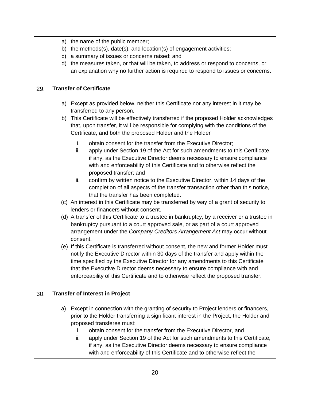|     | a) the name of the public member;                                                                                                                                                                                                                                                                                                                                                                                                                                                                                                     |
|-----|---------------------------------------------------------------------------------------------------------------------------------------------------------------------------------------------------------------------------------------------------------------------------------------------------------------------------------------------------------------------------------------------------------------------------------------------------------------------------------------------------------------------------------------|
|     | b) the methods(s), date(s), and location(s) of engagement activities;                                                                                                                                                                                                                                                                                                                                                                                                                                                                 |
|     | c) a summary of issues or concerns raised; and                                                                                                                                                                                                                                                                                                                                                                                                                                                                                        |
|     | d) the measures taken, or that will be taken, to address or respond to concerns, or<br>an explanation why no further action is required to respond to issues or concerns.                                                                                                                                                                                                                                                                                                                                                             |
| 29. | <b>Transfer of Certificate</b>                                                                                                                                                                                                                                                                                                                                                                                                                                                                                                        |
|     | a) Except as provided below, neither this Certificate nor any interest in it may be<br>transferred to any person.                                                                                                                                                                                                                                                                                                                                                                                                                     |
|     | b) This Certificate will be effectively transferred if the proposed Holder acknowledges<br>that, upon transfer, it will be responsible for complying with the conditions of the<br>Certificate, and both the proposed Holder and the Holder                                                                                                                                                                                                                                                                                           |
|     | i.<br>obtain consent for the transfer from the Executive Director;<br>apply under Section 19 of the Act for such amendments to this Certificate,<br>ii.<br>if any, as the Executive Director deems necessary to ensure compliance<br>with and enforceability of this Certificate and to otherwise reflect the<br>proposed transfer; and                                                                                                                                                                                               |
|     | iii.<br>confirm by written notice to the Executive Director, within 14 days of the<br>completion of all aspects of the transfer transaction other than this notice,<br>that the transfer has been completed.                                                                                                                                                                                                                                                                                                                          |
|     | (c) An interest in this Certificate may be transferred by way of a grant of security to<br>lenders or financers without consent.                                                                                                                                                                                                                                                                                                                                                                                                      |
|     | (d) A transfer of this Certificate to a trustee in bankruptcy, by a receiver or a trustee in<br>bankruptcy pursuant to a court approved sale, or as part of a court approved<br>arrangement under the Company Creditors Arrangement Act may occur without<br>consent.                                                                                                                                                                                                                                                                 |
|     | (e) If this Certificate is transferred without consent, the new and former Holder must<br>notify the Executive Director within 30 days of the transfer and apply within the<br>time specified by the Executive Director for any amendments to this Certificate<br>that the Executive Director deems necessary to ensure compliance with and<br>enforceability of this Certificate and to otherwise reflect the proposed transfer.                                                                                                     |
| 30. | <b>Transfer of Interest in Project</b>                                                                                                                                                                                                                                                                                                                                                                                                                                                                                                |
|     | Except in connection with the granting of security to Project lenders or financers,<br>a)<br>prior to the Holder transferring a significant interest in the Project, the Holder and<br>proposed transferee must:<br>obtain consent for the transfer from the Executive Director, and<br>İ.<br>ii.<br>apply under Section 19 of the Act for such amendments to this Certificate,<br>if any, as the Executive Director deems necessary to ensure compliance<br>with and enforceability of this Certificate and to otherwise reflect the |